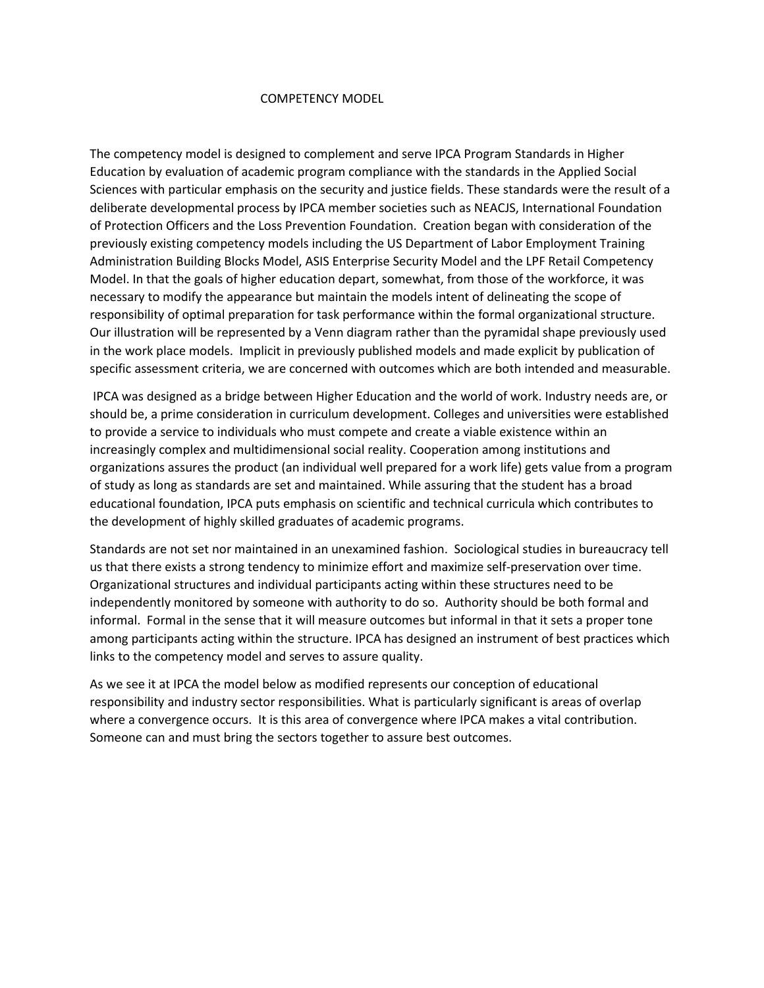#### COMPETENCY MODEL

The competency model is designed to complement and serve IPCA Program Standards in Higher Education by evaluation of academic program compliance with the standards in the Applied Social Sciences with particular emphasis on the security and justice fields. These standards were the result of a deliberate developmental process by IPCA member societies such as NEACJS, International Foundation of Protection Officers and the Loss Prevention Foundation. Creation began with consideration of the previously existing competency models including the US Department of Labor Employment Training Administration Building Blocks Model, ASIS Enterprise Security Model and the LPF Retail Competency Model. In that the goals of higher education depart, somewhat, from those of the workforce, it was necessary to modify the appearance but maintain the models intent of delineating the scope of responsibility of optimal preparation for task performance within the formal organizational structure. Our illustration will be represented by a Venn diagram rather than the pyramidal shape previously used in the work place models. Implicit in previously published models and made explicit by publication of specific assessment criteria, we are concerned with outcomes which are both intended and measurable.

IPCA was designed as a bridge between Higher Education and the world of work. Industry needs are, or should be, a prime consideration in curriculum development. Colleges and universities were established to provide a service to individuals who must compete and create a viable existence within an increasingly complex and multidimensional social reality. Cooperation among institutions and organizations assures the product (an individual well prepared for a work life) gets value from a program of study as long as standards are set and maintained. While assuring that the student has a broad educational foundation, IPCA puts emphasis on scientific and technical curricula which contributes to the development of highly skilled graduates of academic programs.

Standards are not set nor maintained in an unexamined fashion. Sociological studies in bureaucracy tell us that there exists a strong tendency to minimize effort and maximize self-preservation over time. Organizational structures and individual participants acting within these structures need to be independently monitored by someone with authority to do so. Authority should be both formal and informal. Formal in the sense that it will measure outcomes but informal in that it sets a proper tone among participants acting within the structure. IPCA has designed an instrument of best practices which links to the competency model and serves to assure quality.

As we see it at IPCA the model below as modified represents our conception of educational responsibility and industry sector responsibilities. What is particularly significant is areas of overlap where a convergence occurs. It is this area of convergence where IPCA makes a vital contribution. Someone can and must bring the sectors together to assure best outcomes.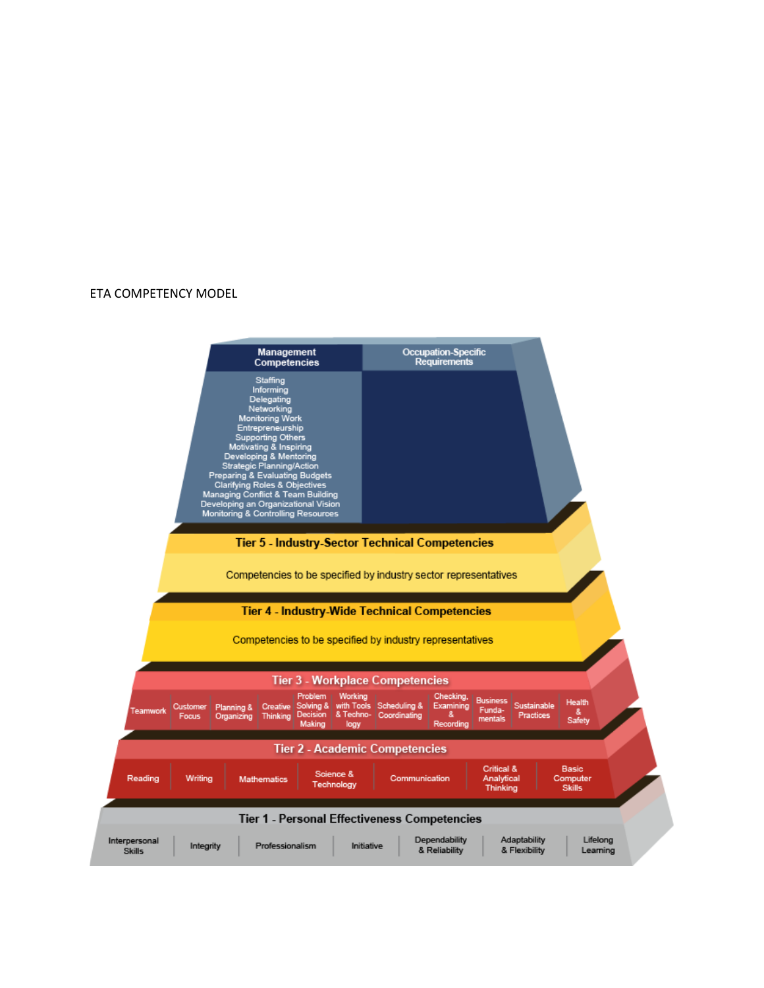#### ETA COMPETENCY MODEL

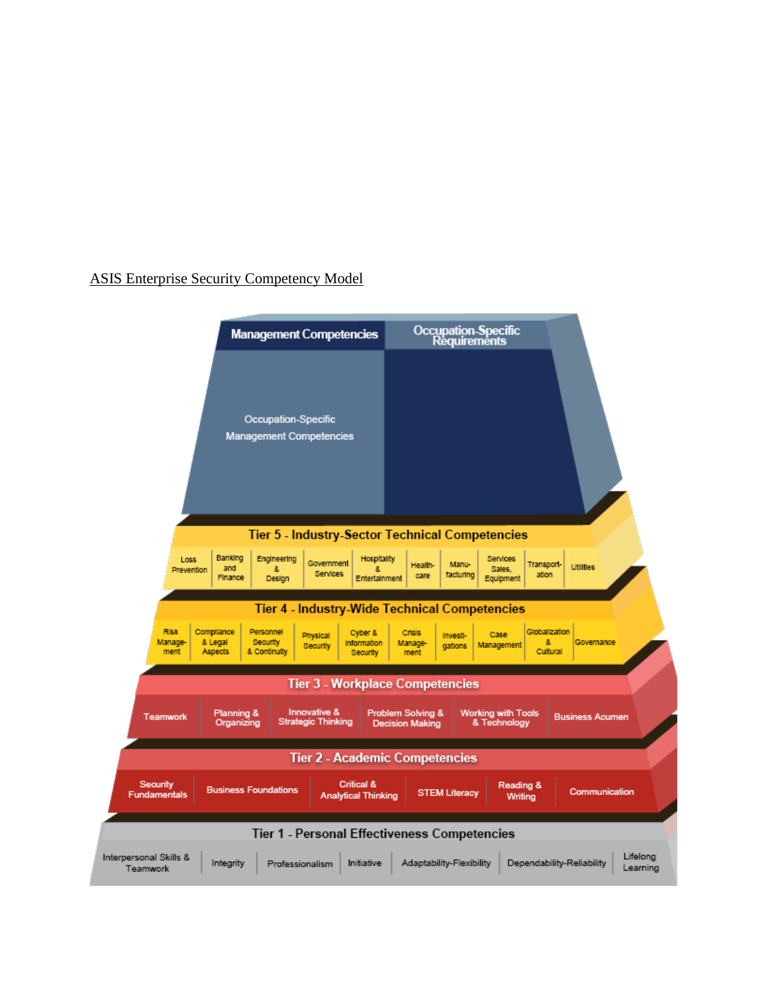# ASIS Enterprise Security Competency Model

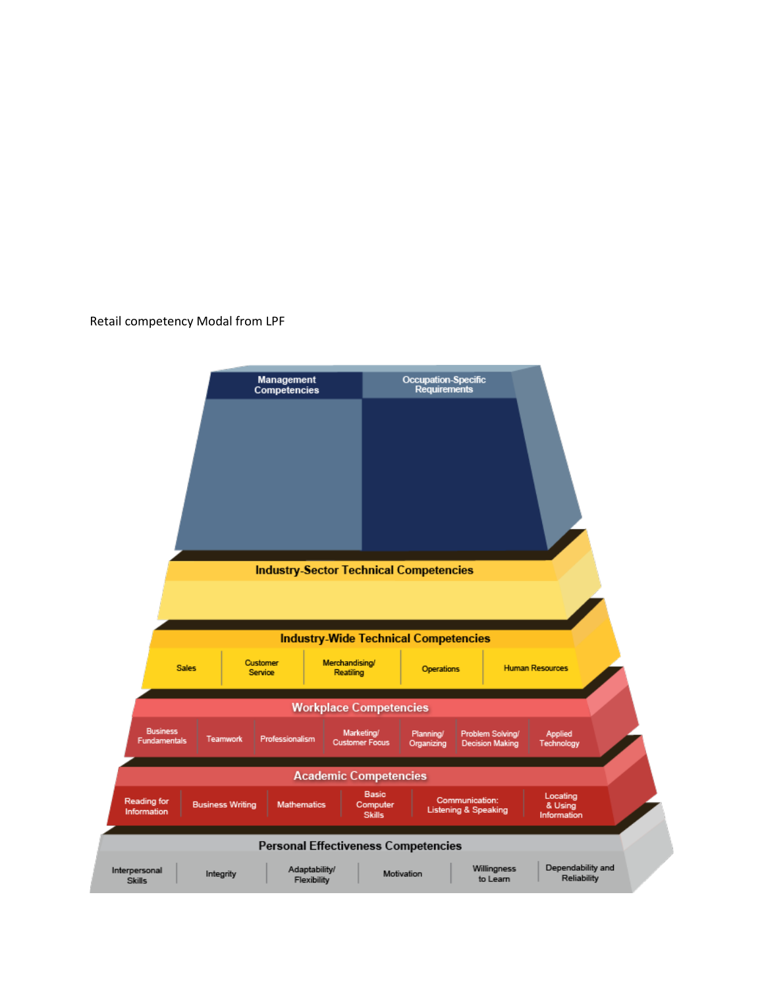### Retail competency Modal from LPF

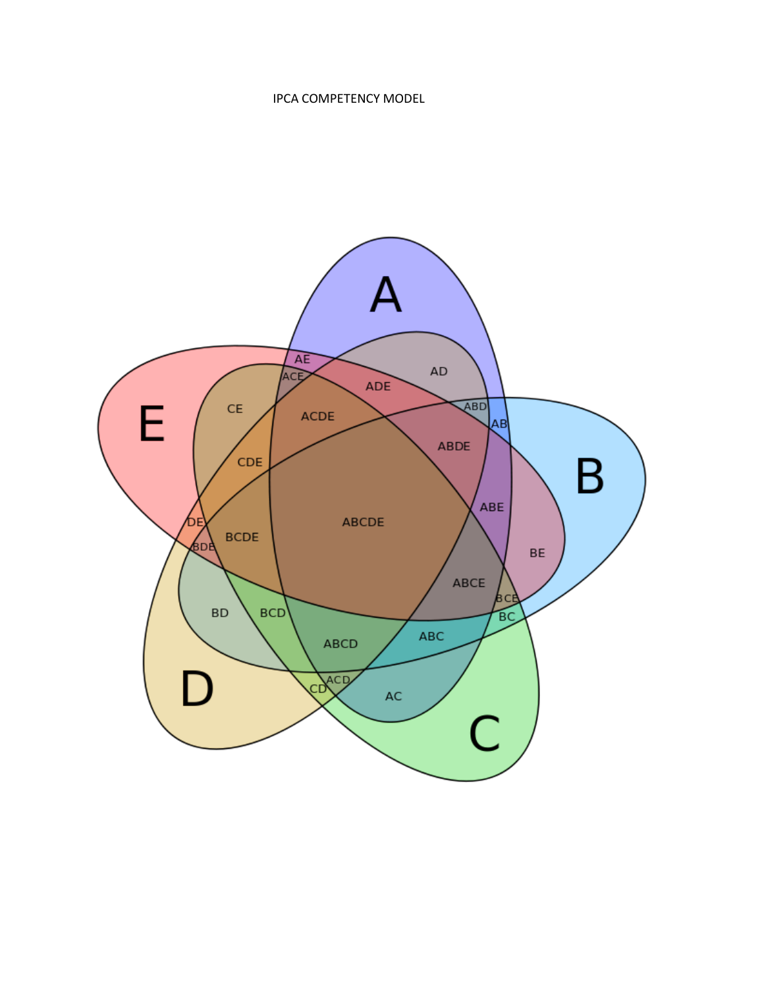## IPCA COMPETENCY MODEL

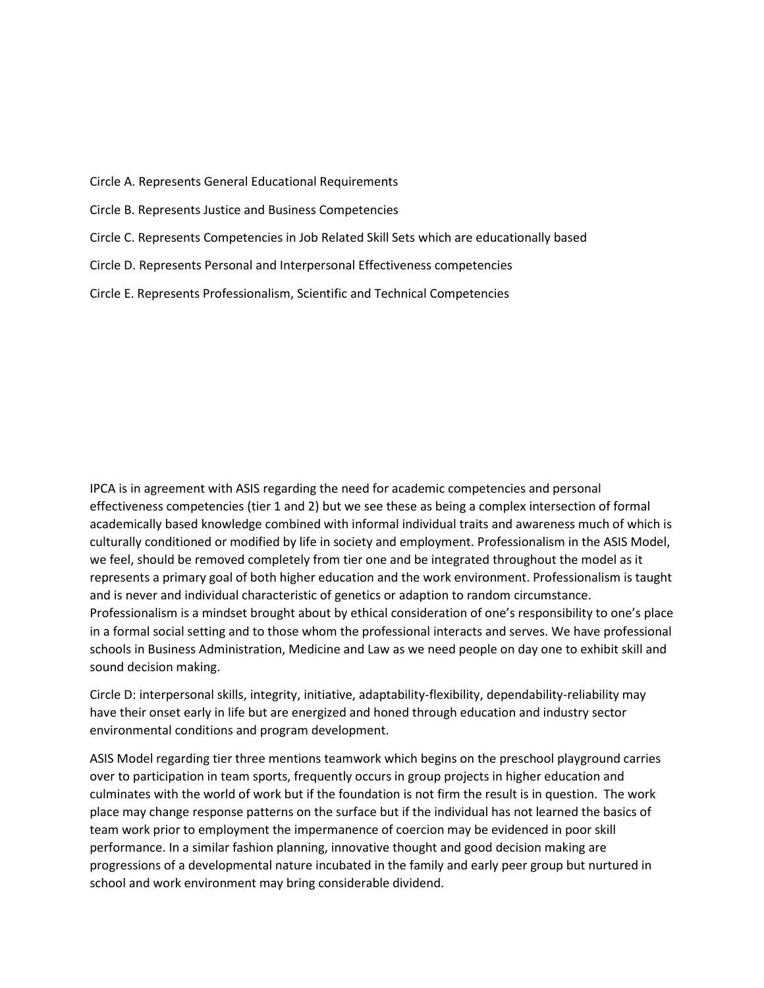Circle A. Represents General Educational Requirements

Circle B. Represents Justice and Business Competencies

- Circle C. Represents Competencies in Job Related Skill Sets which are educationally based
- Circle D. Represents Personal and Interpersonal Effectiveness competencies

Circle E. Represents Professionalism, Scientific and Technical Competencies

IPCA is in agreement with ASIS regarding the need for academic competencies and personal effectiveness competencies (tier 1 and 2) but we see these as being a complex intersection of formal academically based knowledge combined with informal individual traits and awareness much of which is culturally conditioned or modified by life in society and employment. Professionalism in the ASIS Model, we feel, should be removed completely from tier one and be integrated throughout the model as it represents a primary goal of both higher education and the work environment. Professionalism is taught and is never and individual characteristic of genetics or adaption to random circumstance. Professionalism is a mindset brought about by ethical consideration of one's responsibility to one's place in a formal social setting and to those whom the professional interacts and serves. We have professional schools in Business Administration, Medicine and Law as we need people on day one to exhibit skill and sound decision making.

Circle D: interpersonal skills, integrity, initiative, adaptability-flexibility, dependability-reliability may have their onset early in life but are energized and honed through education and industry sector environmental conditions and program development.

ASIS Model regarding tier three mentions teamwork which begins on the preschool playground carries over to participation in team sports, frequently occurs in group projects in higher education and culminates with the world of work but if the foundation is not firm the result is in question. The work place may change response patterns on the surface but if the individual has not learned the basics of team work prior to employment the impermanence of coercion may be evidenced in poor skill performance. In a similar fashion planning, innovative thought and good decision making are progressions of a developmental nature incubated in the family and early peer group but nurtured in school and work environment may bring considerable dividend.